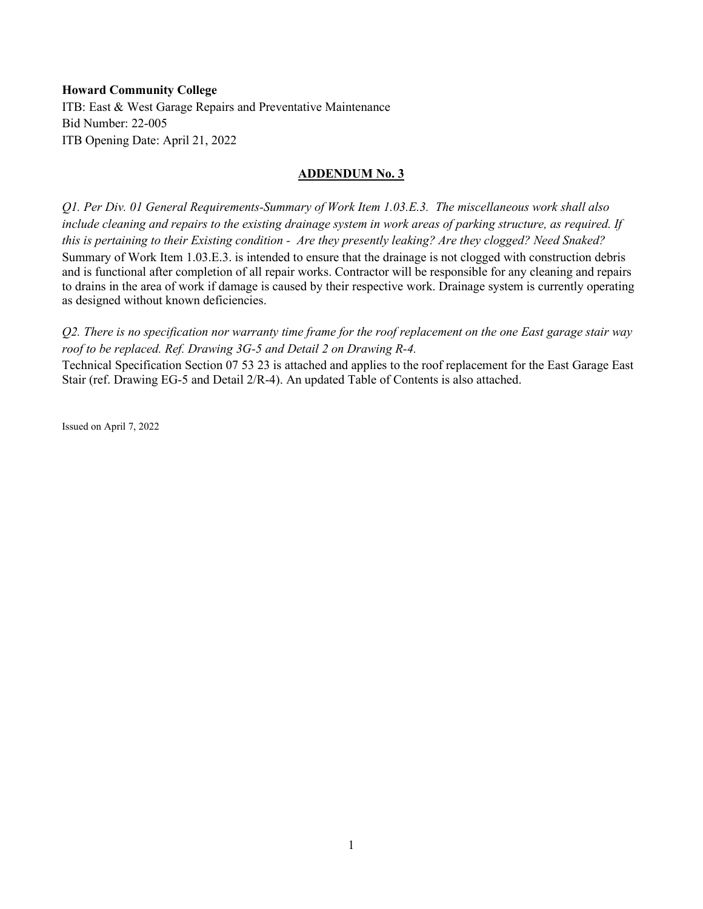# **Howard Community College**

ITB: East & West Garage Repairs and Preventative Maintenance Bid Number: 22-005 ITB Opening Date: April 21, 2022

# **ADDENDUM No. 3**

*Q1. Per Div. 01 General Requirements-Summary of Work Item 1.03.E.3. The miscellaneous work shall also include cleaning and repairs to the existing drainage system in work areas of parking structure, as required. If this is pertaining to their Existing condition - Are they presently leaking? Are they clogged? Need Snaked?* Summary of Work Item 1.03.E.3. is intended to ensure that the drainage is not clogged with construction debris and is functional after completion of all repair works. Contractor will be responsible for any cleaning and repairs to drains in the area of work if damage is caused by their respective work. Drainage system is currently operating as designed without known deficiencies.

*Q2. There is no specification nor warranty time frame for the roof replacement on the one East garage stair way roof to be replaced. Ref. Drawing 3G-5 and Detail 2 on Drawing R-4.*

Technical Specification Section 07 53 23 is attached and applies to the roof replacement for the East Garage East Stair (ref. Drawing EG-5 and Detail 2/R-4). An updated Table of Contents is also attached.

Issued on April 7, 2022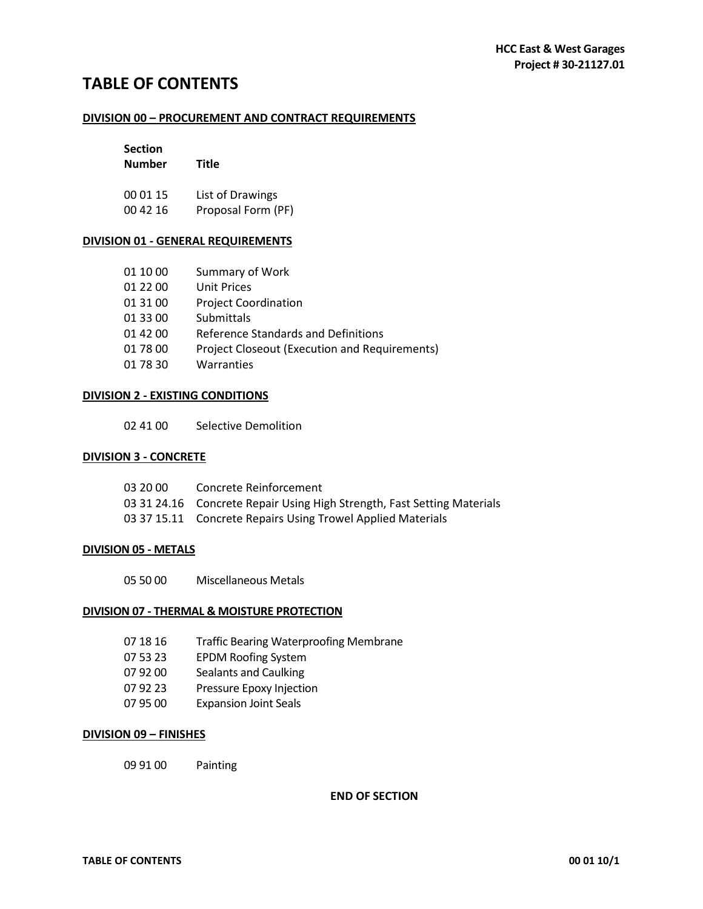# **TABLE OF CONTENTS**

# **DIVISION 00 – PROCUREMENT AND CONTRACT REQUIREMENTS**

| <b>Section</b> |                    |  |
|----------------|--------------------|--|
| <b>Number</b>  | Title              |  |
| 00 01 15       | List of Drawings   |  |
| 00 42 16       | Proposal Form (PF) |  |

# **DIVISION 01 - GENERAL REQUIREMENTS**

| 01 10 00 | Summary of Work                                      |
|----------|------------------------------------------------------|
| 01 22 00 | Unit Prices                                          |
| 01 31 00 | <b>Project Coordination</b>                          |
| 01 33 00 | Submittals                                           |
| 01 42 00 | Reference Standards and Definitions                  |
| 01 78 00 | <b>Project Closeout (Execution and Requirements)</b> |
| 01 78 30 | Warranties                                           |

# **DIVISION 2 - EXISTING CONDITIONS**

02 41 00 Selective Demolition

# **DIVISION 3 - CONCRETE**

| 03 20 00 | Concrete Reinforcement                                                  |
|----------|-------------------------------------------------------------------------|
|          | 03 31 24.16 Concrete Repair Using High Strength, Fast Setting Materials |
|          | 03 37 15.11 Concrete Repairs Using Trowel Applied Materials             |

# **DIVISION 05 - METALS**

05 50 00 Miscellaneous Metals

# **DIVISION 07 - THERMAL & MOISTURE PROTECTION**

- 07 18 16 Traffic Bearing Waterproofing Membrane
- 07 53 23 EPDM Roofing System
- 07 92 00 Sealants and Caulking
- 07 92 23 Pressure Epoxy Injection
- 07 95 00 Expansion Joint Seals

# **DIVISION 09 – FINISHES**

09 91 00 Painting

**END OF SECTION**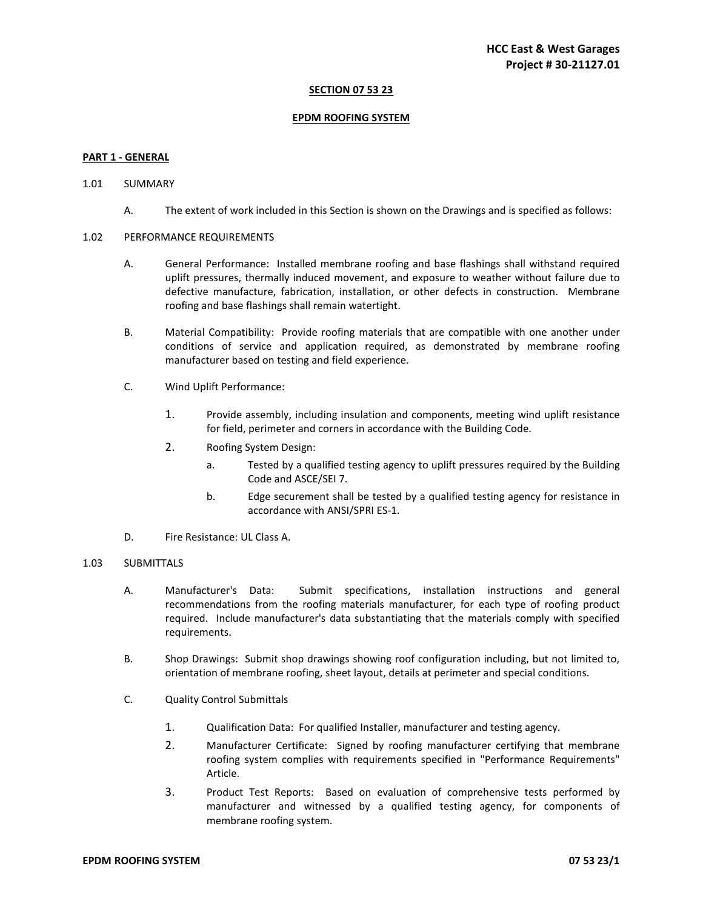# **SECTION 07 53 23**

#### **EPDM ROOFING SYSTEM**

#### **PART 1 - GENERAL**

#### 1.01 SUMMARY

A. The extent of work included in this Section is shown on the Drawings and is specified as follows:

#### 1.02 PERFORMANCE REQUIREMENTS

- A. General Performance: Installed membrane roofing and base flashings shall withstand required uplift pressures, thermally induced movement, and exposure to weather without failure due to defective manufacture, fabrication, installation, or other defects in construction. Membrane roofing and base flashings shall remain watertight.
- B. Material Compatibility: Provide roofing materials that are compatible with one another under conditions of service and application required, as demonstrated by membrane roofing manufacturer based on testing and field experience.
- C. Wind Uplift Performance:
	- 1. Provide assembly, including insulation and components, meeting wind uplift resistance for field, perimeter and corners in accordance with the Building Code.
	- 2. Roofing System Design:
		- a. Tested by a qualified testing agency to uplift pressures required by the Building Code and ASCE/SEI 7.
		- b. Edge securement shall be tested by a qualified testing agency for resistance in accordance with ANSI/SPRI ES-1.
- D. Fire Resistance: UL Class A.

# 1.03 SUBMITTALS

- A. Manufacturer's Data: Submit specifications, installation instructions and general recommendations from the roofing materials manufacturer, for each type of roofing product required. Include manufacturer's data substantiating that the materials comply with specified requirements.
- B. Shop Drawings: Submit shop drawings showing roof configuration including, but not limited to, orientation of membrane roofing, sheet layout, details at perimeter and special conditions.
- C. Quality Control Submittals
	- 1. Qualification Data: For qualified Installer, manufacturer and testing agency.
	- 2. Manufacturer Certificate: Signed by roofing manufacturer certifying that membrane roofing system complies with requirements specified in "Performance Requirements" Article.
	- 3. Product Test Reports: Based on evaluation of comprehensive tests performed by manufacturer and witnessed by a qualified testing agency, for components of membrane roofing system.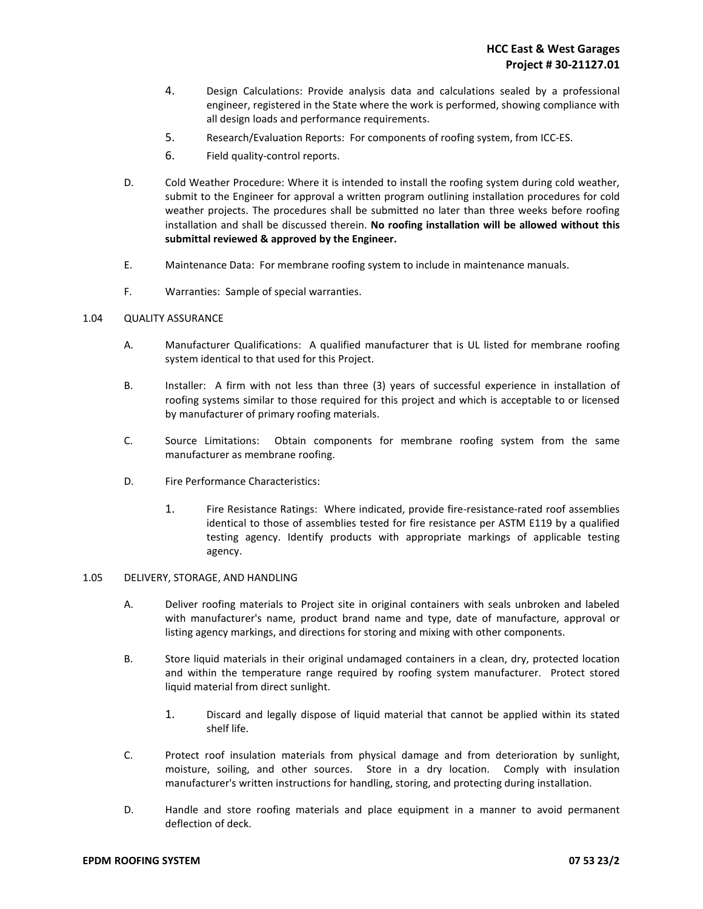- 4. Design Calculations: Provide analysis data and calculations sealed by a professional engineer, registered in the State where the work is performed, showing compliance with all design loads and performance requirements.
- 5. Research/Evaluation Reports: For components of roofing system, from ICC-ES.
- 6. Field quality-control reports.
- D. Cold Weather Procedure: Where it is intended to install the roofing system during cold weather, submit to the Engineer for approval a written program outlining installation procedures for cold weather projects. The procedures shall be submitted no later than three weeks before roofing installation and shall be discussed therein. **No roofing installation will be allowed without this submittal reviewed & approved by the Engineer.**
- E. Maintenance Data: For membrane roofing system to include in maintenance manuals.
- F. Warranties: Sample of special warranties.

# 1.04 QUALITY ASSURANCE

- A. Manufacturer Qualifications: A qualified manufacturer that is UL listed for membrane roofing system identical to that used for this Project.
- B. Installer: A firm with not less than three (3) years of successful experience in installation of roofing systems similar to those required for this project and which is acceptable to or licensed by manufacturer of primary roofing materials.
- C. Source Limitations: Obtain components for membrane roofing system from the same manufacturer as membrane roofing.
- D. Fire Performance Characteristics:
	- 1. Fire Resistance Ratings: Where indicated, provide fire-resistance-rated roof assemblies identical to those of assemblies tested for fire resistance per ASTM E119 by a qualified testing agency. Identify products with appropriate markings of applicable testing agency.

#### 1.05 DELIVERY, STORAGE, AND HANDLING

- A. Deliver roofing materials to Project site in original containers with seals unbroken and labeled with manufacturer's name, product brand name and type, date of manufacture, approval or listing agency markings, and directions for storing and mixing with other components.
- B. Store liquid materials in their original undamaged containers in a clean, dry, protected location and within the temperature range required by roofing system manufacturer. Protect stored liquid material from direct sunlight.
	- 1. Discard and legally dispose of liquid material that cannot be applied within its stated shelf life.
- C. Protect roof insulation materials from physical damage and from deterioration by sunlight, moisture, soiling, and other sources. Store in a dry location. Comply with insulation manufacturer's written instructions for handling, storing, and protecting during installation.
- D. Handle and store roofing materials and place equipment in a manner to avoid permanent deflection of deck.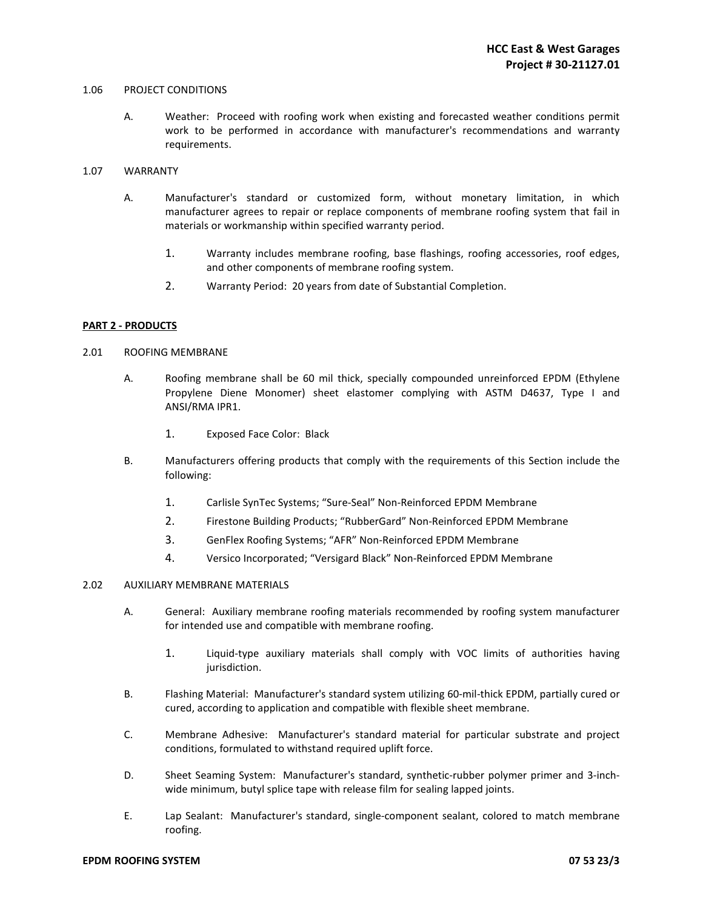#### 1.06 PROJECT CONDITIONS

A. Weather: Proceed with roofing work when existing and forecasted weather conditions permit work to be performed in accordance with manufacturer's recommendations and warranty requirements.

# 1.07 WARRANTY

- A. Manufacturer's standard or customized form, without monetary limitation, in which manufacturer agrees to repair or replace components of membrane roofing system that fail in materials or workmanship within specified warranty period.
	- 1. Warranty includes membrane roofing, base flashings, roofing accessories, roof edges, and other components of membrane roofing system.
	- 2. Warranty Period: 20 years from date of Substantial Completion.

# **PART 2 - PRODUCTS**

#### 2.01 ROOFING MEMBRANE

- A. Roofing membrane shall be 60 mil thick, specially compounded unreinforced EPDM (Ethylene Propylene Diene Monomer) sheet elastomer complying with ASTM D4637, Type I and ANSI/RMA IPR1.
	- 1. Exposed Face Color: Black
- B. Manufacturers offering products that comply with the requirements of this Section include the following:
	- 1. Carlisle SynTec Systems; "Sure-Seal" Non-Reinforced EPDM Membrane
	- 2. Firestone Building Products; "RubberGard" Non-Reinforced EPDM Membrane
	- 3. GenFlex Roofing Systems; "AFR" Non-Reinforced EPDM Membrane
	- 4. Versico Incorporated; "Versigard Black" Non-Reinforced EPDM Membrane

# 2.02 AUXILIARY MEMBRANE MATERIALS

- A. General: Auxiliary membrane roofing materials recommended by roofing system manufacturer for intended use and compatible with membrane roofing.
	- 1. Liquid-type auxiliary materials shall comply with VOC limits of authorities having jurisdiction.
- B. Flashing Material: Manufacturer's standard system utilizing 60-mil-thick EPDM, partially cured or cured, according to application and compatible with flexible sheet membrane.
- C. Membrane Adhesive: Manufacturer's standard material for particular substrate and project conditions, formulated to withstand required uplift force.
- D. Sheet Seaming System: Manufacturer's standard, synthetic-rubber polymer primer and 3-inchwide minimum, butyl splice tape with release film for sealing lapped joints.
- E. Lap Sealant: Manufacturer's standard, single-component sealant, colored to match membrane roofing.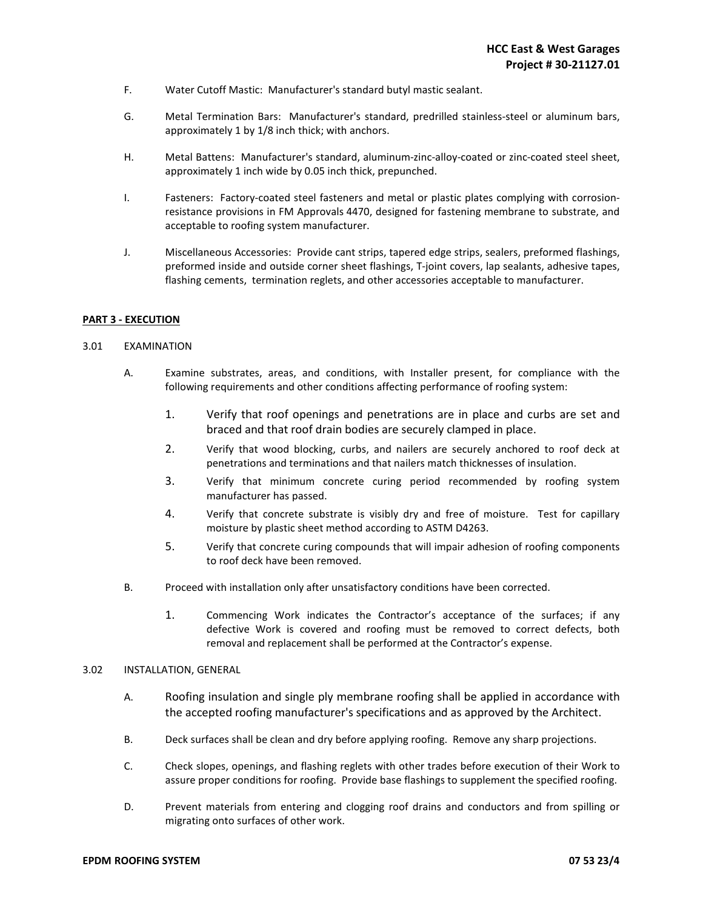- F. Water Cutoff Mastic: Manufacturer's standard butyl mastic sealant.
- G. Metal Termination Bars: Manufacturer's standard, predrilled stainless-steel or aluminum bars, approximately 1 by 1/8 inch thick; with anchors.
- H. Metal Battens: Manufacturer's standard, aluminum-zinc-alloy-coated or zinc-coated steel sheet, approximately 1 inch wide by 0.05 inch thick, prepunched.
- I. Fasteners: Factory-coated steel fasteners and metal or plastic plates complying with corrosionresistance provisions in FM Approvals 4470, designed for fastening membrane to substrate, and acceptable to roofing system manufacturer.
- J. Miscellaneous Accessories: Provide cant strips, tapered edge strips, sealers, preformed flashings, preformed inside and outside corner sheet flashings, T-joint covers, lap sealants, adhesive tapes, flashing cements, termination reglets, and other accessories acceptable to manufacturer.

# **PART 3 - EXECUTION**

# 3.01 EXAMINATION

- A. Examine substrates, areas, and conditions, with Installer present, for compliance with the following requirements and other conditions affecting performance of roofing system:
	- 1. Verify that roof openings and penetrations are in place and curbs are set and braced and that roof drain bodies are securely clamped in place.
	- 2. Verify that wood blocking, curbs, and nailers are securely anchored to roof deck at penetrations and terminations and that nailers match thicknesses of insulation.
	- 3. Verify that minimum concrete curing period recommended by roofing system manufacturer has passed.
	- 4. Verify that concrete substrate is visibly dry and free of moisture. Test for capillary moisture by plastic sheet method according to ASTM D4263.
	- 5. Verify that concrete curing compounds that will impair adhesion of roofing components to roof deck have been removed.
- B. Proceed with installation only after unsatisfactory conditions have been corrected.
	- 1. Commencing Work indicates the Contractor's acceptance of the surfaces; if any defective Work is covered and roofing must be removed to correct defects, both removal and replacement shall be performed at the Contractor's expense.

# 3.02 INSTALLATION, GENERAL

- A. Roofing insulation and single ply membrane roofing shall be applied in accordance with the accepted roofing manufacturer's specifications and as approved by the Architect.
- B. Deck surfaces shall be clean and dry before applying roofing. Remove any sharp projections.
- C. Check slopes, openings, and flashing reglets with other trades before execution of their Work to assure proper conditions for roofing. Provide base flashings to supplement the specified roofing.
- D. Prevent materials from entering and clogging roof drains and conductors and from spilling or migrating onto surfaces of other work.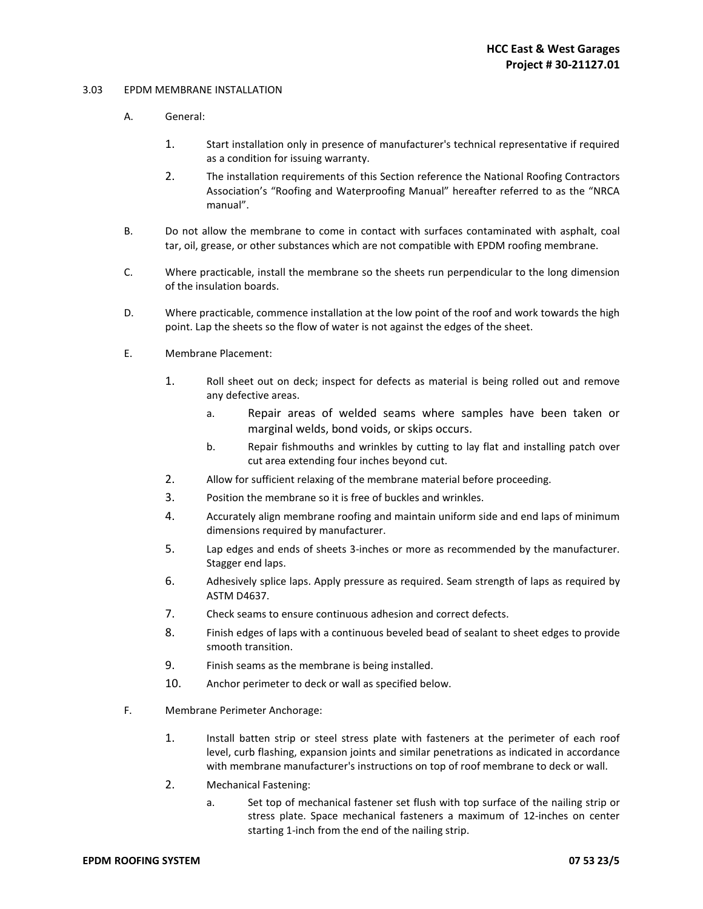# 3.03 EPDM MEMBRANE INSTALLATION

- A. General:
	- 1. Start installation only in presence of manufacturer's technical representative if required as a condition for issuing warranty.
	- 2. The installation requirements of this Section reference the National Roofing Contractors Association's "Roofing and Waterproofing Manual" hereafter referred to as the "NRCA manual".
- B. Do not allow the membrane to come in contact with surfaces contaminated with asphalt, coal tar, oil, grease, or other substances which are not compatible with EPDM roofing membrane.
- C. Where practicable, install the membrane so the sheets run perpendicular to the long dimension of the insulation boards.
- D. Where practicable, commence installation at the low point of the roof and work towards the high point. Lap the sheets so the flow of water is not against the edges of the sheet.
- E. Membrane Placement:
	- 1. Roll sheet out on deck; inspect for defects as material is being rolled out and remove any defective areas.
		- a. Repair areas of welded seams where samples have been taken or marginal welds, bond voids, or skips occurs.
		- b. Repair fishmouths and wrinkles by cutting to lay flat and installing patch over cut area extending four inches beyond cut.
	- 2. Allow for sufficient relaxing of the membrane material before proceeding.
	- 3. Position the membrane so it is free of buckles and wrinkles.
	- 4. Accurately align membrane roofing and maintain uniform side and end laps of minimum dimensions required by manufacturer.
	- 5. Lap edges and ends of sheets 3-inches or more as recommended by the manufacturer. Stagger end laps.
	- 6. Adhesively splice laps. Apply pressure as required. Seam strength of laps as required by ASTM D4637.
	- 7. Check seams to ensure continuous adhesion and correct defects.
	- 8. Finish edges of laps with a continuous beveled bead of sealant to sheet edges to provide smooth transition.
	- 9. Finish seams as the membrane is being installed.
	- 10. Anchor perimeter to deck or wall as specified below.
- F. Membrane Perimeter Anchorage:
	- 1. Install batten strip or steel stress plate with fasteners at the perimeter of each roof level, curb flashing, expansion joints and similar penetrations as indicated in accordance with membrane manufacturer's instructions on top of roof membrane to deck or wall.
	- 2. Mechanical Fastening:
		- a. Set top of mechanical fastener set flush with top surface of the nailing strip or stress plate. Space mechanical fasteners a maximum of 12-inches on center starting 1-inch from the end of the nailing strip.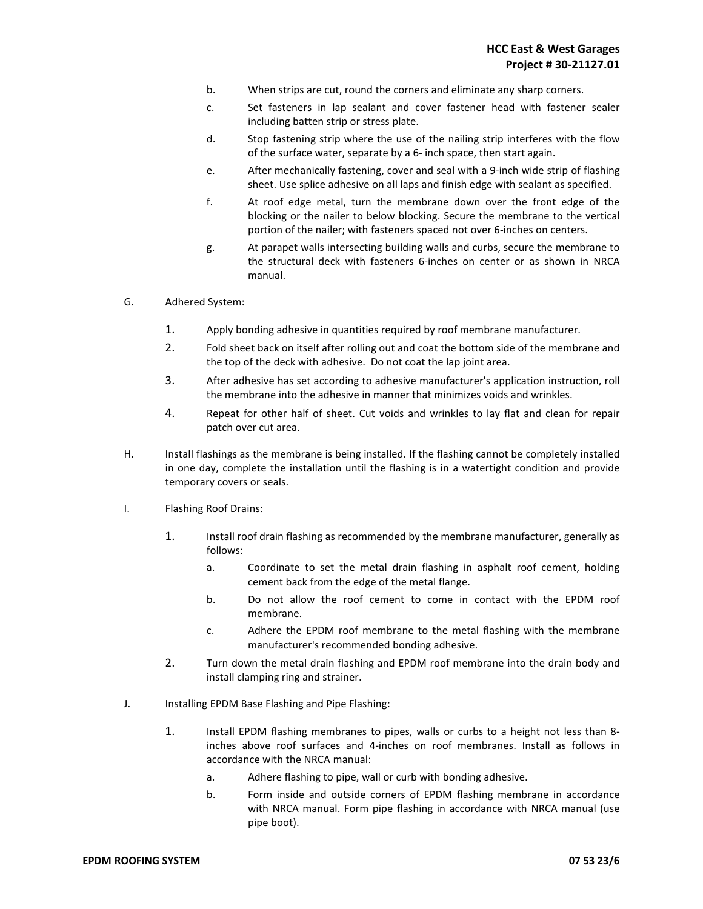- b. When strips are cut, round the corners and eliminate any sharp corners.
- c. Set fasteners in lap sealant and cover fastener head with fastener sealer including batten strip or stress plate.
- d. Stop fastening strip where the use of the nailing strip interferes with the flow of the surface water, separate by a 6- inch space, then start again.
- e. After mechanically fastening, cover and seal with a 9-inch wide strip of flashing sheet. Use splice adhesive on all laps and finish edge with sealant as specified.
- f. At roof edge metal, turn the membrane down over the front edge of the blocking or the nailer to below blocking. Secure the membrane to the vertical portion of the nailer; with fasteners spaced not over 6-inches on centers.
- g. At parapet walls intersecting building walls and curbs, secure the membrane to the structural deck with fasteners 6-inches on center or as shown in NRCA manual.
- G. Adhered System:
	- 1. Apply bonding adhesive in quantities required by roof membrane manufacturer.
	- 2. Fold sheet back on itself after rolling out and coat the bottom side of the membrane and the top of the deck with adhesive. Do not coat the lap joint area.
	- 3. After adhesive has set according to adhesive manufacturer's application instruction, roll the membrane into the adhesive in manner that minimizes voids and wrinkles.
	- 4. Repeat for other half of sheet. Cut voids and wrinkles to lay flat and clean for repair patch over cut area.
- H. Install flashings as the membrane is being installed. If the flashing cannot be completely installed in one day, complete the installation until the flashing is in a watertight condition and provide temporary covers or seals.
- I. Flashing Roof Drains:
	- 1. Install roof drain flashing as recommended by the membrane manufacturer, generally as follows:
		- a. Coordinate to set the metal drain flashing in asphalt roof cement, holding cement back from the edge of the metal flange.
		- b. Do not allow the roof cement to come in contact with the EPDM roof membrane.
		- c. Adhere the EPDM roof membrane to the metal flashing with the membrane manufacturer's recommended bonding adhesive.
	- 2. Turn down the metal drain flashing and EPDM roof membrane into the drain body and install clamping ring and strainer.
- J. Installing EPDM Base Flashing and Pipe Flashing:
	- 1. Install EPDM flashing membranes to pipes, walls or curbs to a height not less than 8 inches above roof surfaces and 4-inches on roof membranes. Install as follows in accordance with the NRCA manual:
		- a. Adhere flashing to pipe, wall or curb with bonding adhesive.
		- b. Form inside and outside corners of EPDM flashing membrane in accordance with NRCA manual. Form pipe flashing in accordance with NRCA manual (use pipe boot).